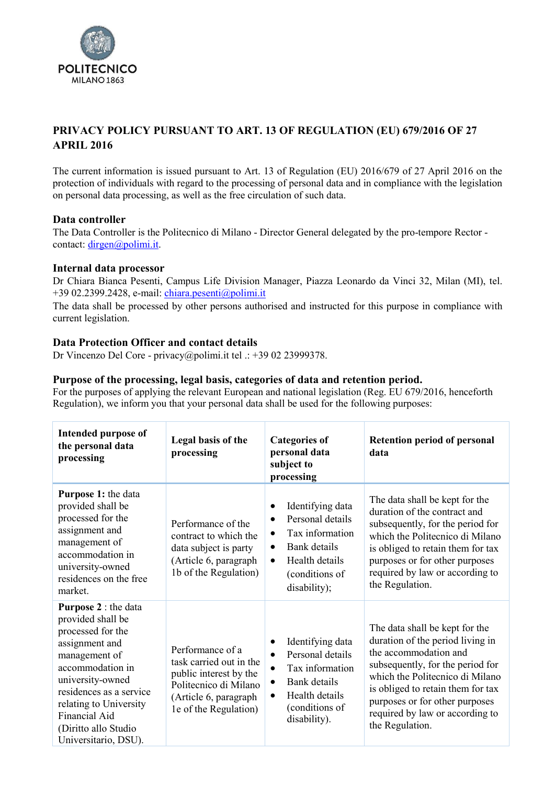

# **PRIVACY POLICY PURSUANT TO ART. 13 OF REGULATION (EU) 679/2016 OF 27 APRIL 2016**

The current information is issued pursuant to Art. 13 of Regulation (EU) 2016/679 of 27 April 2016 on the protection of individuals with regard to the processing of personal data and in compliance with the legislation on personal data processing, as well as the free circulation of such data.

# **Data controller**

The Data Controller is the Politecnico di Milano - Director General delegated by the pro-tempore Rector contact: [dirgen@polimi.it.](mailto:dirgen@polimi.it)

#### **Internal data processor**

Dr Chiara Bianca Pesenti, Campus Life Division Manager, Piazza Leonardo da Vinci 32, Milan (MI), tel. +39 02.2399.2428, e-mail: [chiara.pesenti@polimi.it](mailto:chiara.pesenti@polimi.it)

The data shall be processed by other persons authorised and instructed for this purpose in compliance with current legislation.

# **Data Protection Officer and contact details**

Dr Vincenzo Del Core - [privacy@polimi.it](mailto:privacy@polmi.it) tel .: +39 02 23999378.

#### **Purpose of the processing, legal basis, categories of data and retention period.**

For the purposes of applying the relevant European and national legislation (Reg. EU 679/2016, henceforth Regulation), we inform you that your personal data shall be used for the following purposes:

| <b>Intended purpose of</b><br>the personal data<br>processing                                                                                                                                                                                                          | Legal basis of the<br>processing                                                                                                                 | <b>Categories of</b><br>personal data<br>subject to<br>processing                                                                                                                    | <b>Retention period of personal</b><br>data                                                                                                                                                                                                                                                     |
|------------------------------------------------------------------------------------------------------------------------------------------------------------------------------------------------------------------------------------------------------------------------|--------------------------------------------------------------------------------------------------------------------------------------------------|--------------------------------------------------------------------------------------------------------------------------------------------------------------------------------------|-------------------------------------------------------------------------------------------------------------------------------------------------------------------------------------------------------------------------------------------------------------------------------------------------|
| <b>Purpose 1: the data</b><br>provided shall be<br>processed for the<br>assignment and<br>management of<br>accommodation in<br>university-owned<br>residences on the free<br>market.                                                                                   | Performance of the<br>contract to which the<br>data subject is party<br>(Article 6, paragraph<br>1b of the Regulation)                           | Identifying data<br>٠<br>Personal details<br>$\bullet$<br>Tax information<br>$\bullet$<br>Bank details<br>$\bullet$<br>Health details<br>$\bullet$<br>(conditions of<br>disability); | The data shall be kept for the<br>duration of the contract and<br>subsequently, for the period for<br>which the Politecnico di Milano<br>is obliged to retain them for tax<br>purposes or for other purposes<br>required by law or according to<br>the Regulation.                              |
| <b>Purpose 2</b> : the data<br>provided shall be<br>processed for the<br>assignment and<br>management of<br>accommodation in<br>university-owned<br>residences as a service<br>relating to University<br>Financial Aid<br>(Diritto allo Studio<br>Universitario, DSU). | Performance of a<br>task carried out in the<br>public interest by the<br>Politecnico di Milano<br>(Article 6, paragraph<br>le of the Regulation) | Identifying data<br>٠<br>Personal details<br>$\bullet$<br>Tax information<br>$\bullet$<br>Bank details<br>$\bullet$<br>Health details<br>$\bullet$<br>(conditions of<br>disability). | The data shall be kept for the<br>duration of the period living in<br>the accommodation and<br>subsequently, for the period for<br>which the Politecnico di Milano<br>is obliged to retain them for tax<br>purposes or for other purposes<br>required by law or according to<br>the Regulation. |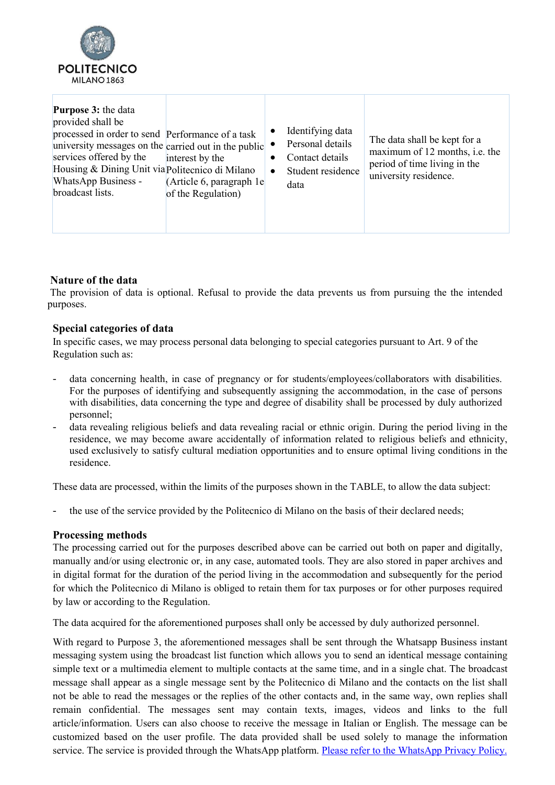

| <b>Purpose 3: the data</b><br>provided shall be<br>processed in order to send Performance of a task<br>university messages on the carried out in the public<br>services offered by the<br>Housing & Dining Unit via Politecnico di Milano<br><b>WhatsApp Business -</b><br>broadcast lists. | interest by the<br>(Article 6, paragraph 1e)<br>of the Regulation) | Identifying data<br>$\bullet$<br>Personal details<br>Contact details<br>٠<br>Student residence<br>$\bullet$<br>data | The data shall be kept for a<br>maximum of 12 months, i.e. the<br>period of time living in the<br>university residence. |
|---------------------------------------------------------------------------------------------------------------------------------------------------------------------------------------------------------------------------------------------------------------------------------------------|--------------------------------------------------------------------|---------------------------------------------------------------------------------------------------------------------|-------------------------------------------------------------------------------------------------------------------------|
|---------------------------------------------------------------------------------------------------------------------------------------------------------------------------------------------------------------------------------------------------------------------------------------------|--------------------------------------------------------------------|---------------------------------------------------------------------------------------------------------------------|-------------------------------------------------------------------------------------------------------------------------|

# **Nature of the data**

The provision of data is optional. Refusal to provide the data prevents us from pursuing the the intended purposes.

#### **Special categories of data**

In specific cases, we may process personal data belonging to special categories pursuant to Art. 9 of the Regulation such as:

- data concerning health, in case of pregnancy or for students/employees/collaborators with disabilities. For the purposes of identifying and subsequently assigning the accommodation, in the case of persons with disabilities, data concerning the type and degree of disability shall be processed by duly authorized personnel;
- data revealing religious beliefs and data revealing racial or ethnic origin. During the period living in the residence, we may become aware accidentally of information related to religious beliefs and ethnicity, used exclusively to satisfy cultural mediation opportunities and to ensure optimal living conditions in the residence.

These data are processed, within the limits of the purposes shown in the TABLE, to allow the data subject:

the use of the service provided by the Politecnico di Milano on the basis of their declared needs;

#### **Processing methods**

The processing carried out for the purposes described above can be carried out both on paper and digitally, manually and/or using electronic or, in any case, automated tools. They are also stored in paper archives and in digital format for the duration of the period living in the accommodation and subsequently for the period for which the Politecnico di Milano is obliged to retain them for tax purposes or for other purposes required by law or according to the Regulation.

The data acquired for the aforementioned purposes shall only be accessed by duly authorized personnel.

With regard to Purpose 3, the aforementioned messages shall be sent through the Whatsapp Business instant messaging system using the broadcast list function which allows you to send an identical message containing simple text or a multimedia element to multiple contacts at the same time, and in a single chat. The broadcast message shall appear as a single message sent by the Politecnico di Milano and the contacts on the list shall not be able to read the messages or the replies of the other contacts and, in the same way, own replies shall remain confidential. The messages sent may contain texts, images, videos and links to the full article/information. Users can also choose to receive the message in Italian or English. The message can be customized based on the user profile. The data provided shall be used solely to manage the information service. The service is provided through the WhatsApp platform. [Please refer to the WhatsApp Privacy Policy.](https://www.whatsapp.com/legal/updates/privacy-policy/?lang=it)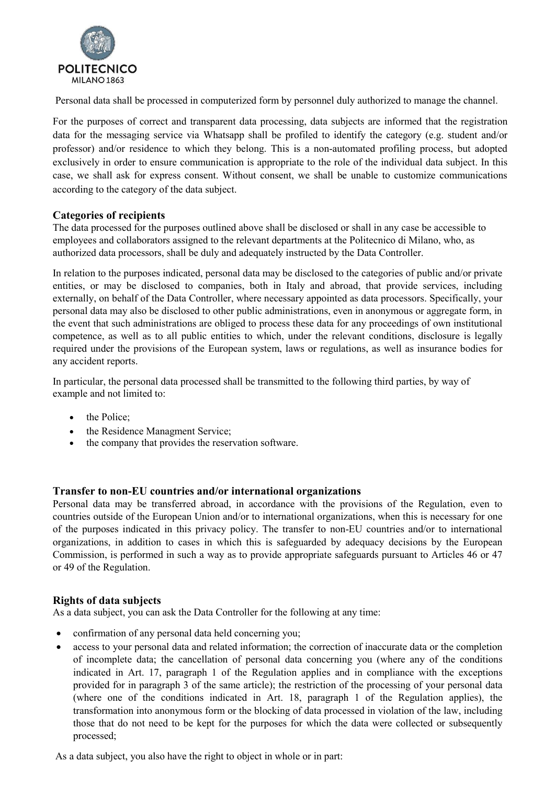

Personal data shall be processed in computerized form by personnel duly authorized to manage the channel.

For the purposes of correct and transparent data processing, data subjects are informed that the registration data for the messaging service via Whatsapp shall be profiled to identify the category (e.g. student and/or professor) and/or residence to which they belong. This is a non-automated profiling process, but adopted exclusively in order to ensure communication is appropriate to the role of the individual data subject. In this case, we shall ask for express consent. Without consent, we shall be unable to customize communications according to the category of the data subject.

# **Categories of recipients**

The data processed for the purposes outlined above shall be disclosed or shall in any case be accessible to employees and collaborators assigned to the relevant departments at the Politecnico di Milano, who, as authorized data processors, shall be duly and adequately instructed by the Data Controller.

In relation to the purposes indicated, personal data may be disclosed to the categories of public and/or private entities, or may be disclosed to companies, both in Italy and abroad, that provide services, including externally, on behalf of the Data Controller, where necessary appointed as data processors. Specifically, your personal data may also be disclosed to other public administrations, even in anonymous or aggregate form, in the event that such administrations are obliged to process these data for any proceedings of own institutional competence, as well as to all public entities to which, under the relevant conditions, disclosure is legally required under the provisions of the European system, laws or regulations, as well as insurance bodies for any accident reports.

In particular, the personal data processed shall be transmitted to the following third parties, by way of example and not limited to:

- the Police:
- the Residence Managment Service;
- the company that provides the reservation software.

# **Transfer to non-EU countries and/or international organizations**

Personal data may be transferred abroad, in accordance with the provisions of the Regulation, even to countries outside of the European Union and/or to international organizations, when this is necessary for one of the purposes indicated in this privacy policy. The transfer to non-EU countries and/or to international organizations, in addition to cases in which this is safeguarded by adequacy decisions by the European Commission, is performed in such a way as to provide appropriate safeguards pursuant to Articles 46 or 47 or 49 of the Regulation.

# **Rights of data subjects**

As a data subject, you can ask the Data Controller for the following at any time:

- confirmation of any personal data held concerning you;
- access to your personal data and related information; the correction of inaccurate data or the completion of incomplete data; the cancellation of personal data concerning you (where any of the conditions indicated in Art. 17, paragraph 1 of the Regulation applies and in compliance with the exceptions provided for in paragraph 3 of the same article); the restriction of the processing of your personal data (where one of the conditions indicated in Art. 18, paragraph 1 of the Regulation applies), the transformation into anonymous form or the blocking of data processed in violation of the law, including those that do not need to be kept for the purposes for which the data were collected or subsequently processed;

As a data subject, you also have the right to object in whole or in part: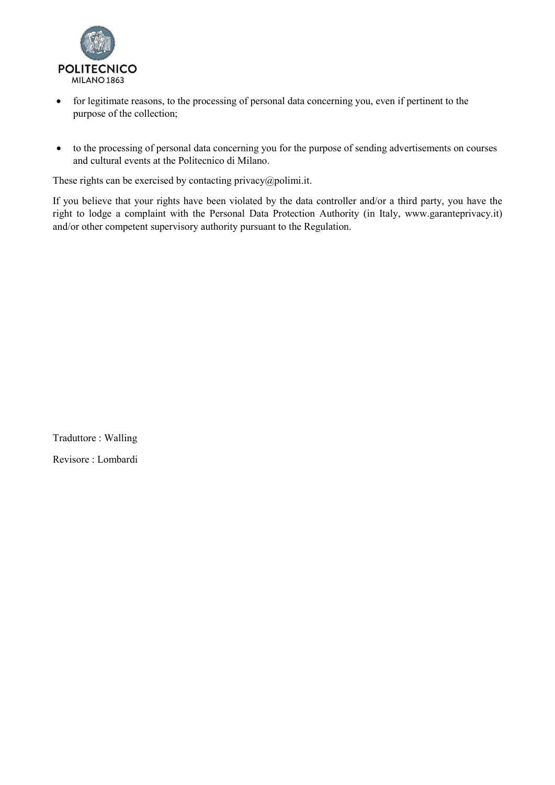

- for legitimate reasons, to the processing of personal data concerning you, even if pertinent to the purpose of the collection;
- to the processing of personal data concerning you for the purpose of sending advertisements on courses and cultural events at the Politecnico di Milano.

These rights can be exercised by contacting privacy $\omega$ polimi.it.

If you believe that your rights have been violated by the data controller and/or a third party, you have the right to lodge a complaint with the Personal Data Protection Authority (in Italy, www.garanteprivacy.it) and/or other competent supervisory authority pursuant to the Regulation.

Traduttore : Walling Revisore : Lombardi